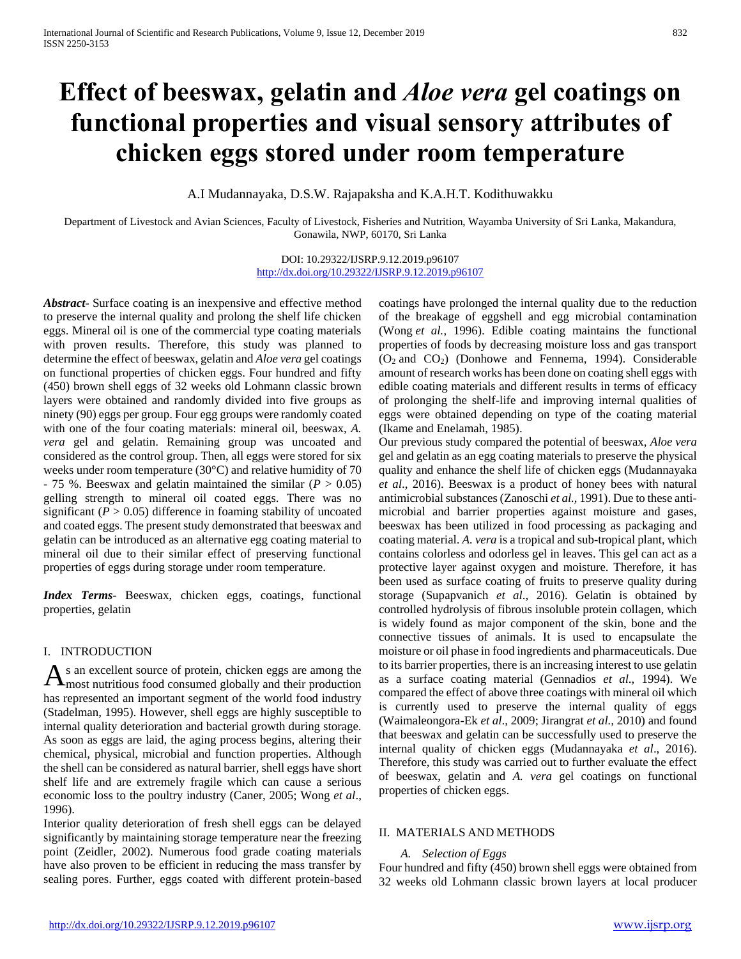# **Effect of beeswax, gelatin and** *Aloe vera* **gel coatings on functional properties and visual sensory attributes of chicken eggs stored under room temperature**

A.I Mudannayaka, D.S.W. Rajapaksha and K.A.H.T. Kodithuwakku

Department of Livestock and Avian Sciences, Faculty of Livestock, Fisheries and Nutrition, Wayamba University of Sri Lanka, Makandura, Gonawila, NWP, 60170, Sri Lanka

> DOI: 10.29322/IJSRP.9.12.2019.p96107 <http://dx.doi.org/10.29322/IJSRP.9.12.2019.p96107>

*Abstract***-** Surface coating is an inexpensive and effective method to preserve the internal quality and prolong the shelf life chicken eggs. Mineral oil is one of the commercial type coating materials with proven results. Therefore, this study was planned to determine the effect of beeswax, gelatin and *Aloe vera* gel coatings on functional properties of chicken eggs. Four hundred and fifty (450) brown shell eggs of 32 weeks old Lohmann classic brown layers were obtained and randomly divided into five groups as ninety (90) eggs per group. Four egg groups were randomly coated with one of the four coating materials: mineral oil, beeswax, *A. vera* gel and gelatin. Remaining group was uncoated and considered as the control group. Then, all eggs were stored for six weeks under room temperature (30°C) and relative humidity of 70  $-75$  %. Beeswax and gelatin maintained the similar ( $P > 0.05$ ) gelling strength to mineral oil coated eggs. There was no significant  $(P > 0.05)$  difference in foaming stability of uncoated and coated eggs. The present study demonstrated that beeswax and gelatin can be introduced as an alternative egg coating material to mineral oil due to their similar effect of preserving functional properties of eggs during storage under room temperature.

*Index Terms*- Beeswax, chicken eggs, coatings, functional properties, gelatin

# I. INTRODUCTION

s an excellent source of protein, chicken eggs are among the  $A$ s an excellent source of protein, chicken eggs are among the most nutritious food consumed globally and their production has represented an important segment of the world food industry (Stadelman, 1995). However, shell eggs are highly susceptible to internal quality deterioration and bacterial growth during storage. As soon as eggs are laid, the aging process begins, altering their chemical, physical, microbial and function properties. Although the shell can be considered as natural barrier, shell eggs have short shelf life and are extremely fragile which can cause a serious economic loss to the poultry industry (Caner, 2005; Wong *et al*., 1996).

Interior quality deterioration of fresh shell eggs can be delayed significantly by maintaining storage temperature near the freezing point (Zeidler, 2002). Numerous food grade coating materials have also proven to be efficient in reducing the mass transfer by sealing pores. Further, eggs coated with different protein-based coatings have prolonged the internal quality due to the reduction of the breakage of eggshell and egg microbial contamination (Wong *et al.*, 1996). Edible coating maintains the functional properties of foods by decreasing moisture loss and gas transport (O<sup>2</sup> and CO2) (Donhowe and Fennema, 1994). Considerable amount of research works has been done on coating shell eggs with edible coating materials and different results in terms of efficacy of prolonging the shelf-life and improving internal qualities of eggs were obtained depending on type of the coating material (Ikame and Enelamah, 1985).

Our previous study compared the potential of beeswax, *Aloe vera* gel and gelatin as an egg coating materials to preserve the physical quality and enhance the shelf life of chicken eggs (Mudannayaka *et al*., 2016). Beeswax is a product of honey bees with natural antimicrobial substances (Zanoschi *et al.,* 1991). Due to these antimicrobial and barrier properties against moisture and gases, beeswax has been utilized in food processing as packaging and coating material. *A. vera* is a tropical and sub-tropical plant, which contains colorless and odorless gel in leaves. This gel can act as a protective layer against oxygen and moisture. Therefore, it has been used as surface coating of fruits to preserve quality during storage (Supapvanich *et al*., 2016). Gelatin is obtained by controlled hydrolysis of fibrous insoluble protein collagen, which is widely found as major component of the skin, bone and the connective tissues of animals. It is used to encapsulate the moisture or oil phase in food ingredients and pharmaceuticals. Due to its barrier properties, there is an increasing interest to use gelatin as a surface coating material (Gennadios *et al*., 1994). We compared the effect of above three coatings with mineral oil which is currently used to preserve the internal quality of eggs (Waimaleongora-Ek *et al*., 2009; Jirangrat *et al.,* 2010) and found that beeswax and gelatin can be successfully used to preserve the internal quality of chicken eggs (Mudannayaka *et al*., 2016). Therefore, this study was carried out to further evaluate the effect of beeswax, gelatin and *A. vera* gel coatings on functional properties of chicken eggs.

# II. MATERIALS AND METHODS

#### *A. Selection of Eggs*

Four hundred and fifty (450) brown shell eggs were obtained from 32 weeks old Lohmann classic brown layers at local producer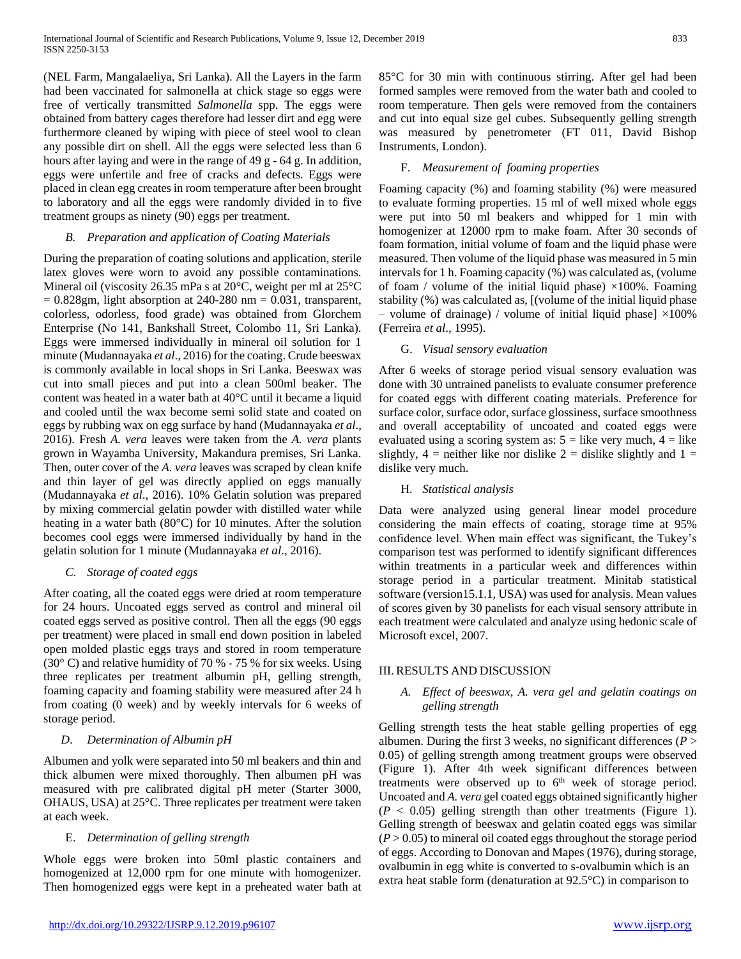(NEL Farm, Mangalaeliya, Sri Lanka). All the Layers in the farm had been vaccinated for salmonella at chick stage so eggs were free of vertically transmitted *Salmonella* spp. The eggs were obtained from battery cages therefore had lesser dirt and egg were furthermore cleaned by wiping with piece of steel wool to clean any possible dirt on shell. All the eggs were selected less than 6 hours after laying and were in the range of 49 g - 64 g. In addition, eggs were unfertile and free of cracks and defects. Eggs were placed in clean egg creates in room temperature after been brought to laboratory and all the eggs were randomly divided in to five treatment groups as ninety (90) eggs per treatment.

#### *B. Preparation and application of Coating Materials*

During the preparation of coating solutions and application, sterile latex gloves were worn to avoid any possible contaminations. Mineral oil (viscosity 26.35 mPa s at 20°C, weight per ml at 25°C  $= 0.828$ gm, light absorption at 240-280 nm  $= 0.031$ , transparent, colorless, odorless, food grade) was obtained from Glorchem Enterprise (No 141, Bankshall Street, Colombo 11, Sri Lanka). Eggs were immersed individually in mineral oil solution for 1 minute (Mudannayaka *et al*., 2016) for the coating. Crude beeswax is commonly available in local shops in Sri Lanka. Beeswax was cut into small pieces and put into a clean 500ml beaker. The content was heated in a water bath at 40°C until it became a liquid and cooled until the wax become semi solid state and coated on eggs by rubbing wax on egg surface by hand (Mudannayaka *et al*., 2016). Fresh *A. vera* leaves were taken from the *A. vera* plants grown in Wayamba University, Makandura premises, Sri Lanka. Then, outer cover of the *A. vera* leaves was scraped by clean knife and thin layer of gel was directly applied on eggs manually (Mudannayaka *et al*., 2016). 10% Gelatin solution was prepared by mixing commercial gelatin powder with distilled water while heating in a water bath (80°C) for 10 minutes. After the solution becomes cool eggs were immersed individually by hand in the gelatin solution for 1 minute (Mudannayaka *et al*., 2016).

# *C. Storage of coated eggs*

After coating, all the coated eggs were dried at room temperature for 24 hours. Uncoated eggs served as control and mineral oil coated eggs served as positive control. Then all the eggs (90 eggs per treatment) were placed in small end down position in labeled open molded plastic eggs trays and stored in room temperature (30 $\degree$  C) and relative humidity of 70 % - 75 % for six weeks. Using three replicates per treatment albumin pH, gelling strength, foaming capacity and foaming stability were measured after 24 h from coating (0 week) and by weekly intervals for 6 weeks of storage period.

# *D*. *Determination of Albumin pH*

Albumen and yolk were separated into 50 ml beakers and thin and thick albumen were mixed thoroughly. Then albumen pH was measured with pre calibrated digital pH meter (Starter 3000, OHAUS, USA) at 25°C. Three replicates per treatment were taken at each week.

# E. *Determination of gelling strength*

Whole eggs were broken into 50ml plastic containers and homogenized at 12,000 rpm for one minute with homogenizer. Then homogenized eggs were kept in a preheated water bath at 85°C for 30 min with continuous stirring. After gel had been formed samples were removed from the water bath and cooled to room temperature. Then gels were removed from the containers and cut into equal size gel cubes. Subsequently gelling strength was measured by penetrometer (FT 011, David Bishop Instruments, London).

#### F. *Measurement of foaming properties*

Foaming capacity (%) and foaming stability (%) were measured to evaluate forming properties. 15 ml of well mixed whole eggs were put into 50 ml beakers and whipped for 1 min with homogenizer at 12000 rpm to make foam. After 30 seconds of foam formation, initial volume of foam and the liquid phase were measured. Then volume of the liquid phase was measured in 5 min intervals for 1 h. Foaming capacity (%) was calculated as, (volume of foam / volume of the initial liquid phase)  $\times$ 100%. Foaming stability (%) was calculated as, [(volume of the initial liquid phase – volume of drainage) / volume of initial liquid phase]  $\times$ 100% (Ferreira *et al*., 1995).

#### G. *Visual sensory evaluation*

After 6 weeks of storage period visual sensory evaluation was done with 30 untrained panelists to evaluate consumer preference for coated eggs with different coating materials. Preference for surface color, surface odor, surface glossiness, surface smoothness and overall acceptability of uncoated and coated eggs were evaluated using a scoring system as:  $5 =$  like very much,  $4 =$  like slightly,  $4$  = neither like nor dislike 2 = dislike slightly and 1 = dislike very much.

# H. *Statistical analysis*

Data were analyzed using general linear model procedure considering the main effects of coating, storage time at 95% confidence level. When main effect was significant, the Tukey's comparison test was performed to identify significant differences within treatments in a particular week and differences within storage period in a particular treatment. Minitab statistical software (version15.1.1, USA) was used for analysis. Mean values of scores given by 30 panelists for each visual sensory attribute in each treatment were calculated and analyze using hedonic scale of Microsoft excel, 2007.

# III. RESULTS AND DISCUSSION

# *A. Effect of beeswax, A. vera gel and gelatin coatings on gelling strength*

Gelling strength tests the heat stable gelling properties of egg albumen. During the first 3 weeks, no significant differences (*P* > 0.05) of gelling strength among treatment groups were observed (Figure 1). After 4th week significant differences between treatments were observed up to  $6<sup>th</sup>$  week of storage period. Uncoated and *A. vera* gel coated eggs obtained significantly higher  $(P < 0.05)$  gelling strength than other treatments (Figure 1). Gelling strength of beeswax and gelatin coated eggs was similar  $(P > 0.05)$  to mineral oil coated eggs throughout the storage period of eggs. According to Donovan and Mapes (1976), during storage, ovalbumin in egg white is converted to s-ovalbumin which is an extra heat stable form (denaturation at 92.5°C) in comparison to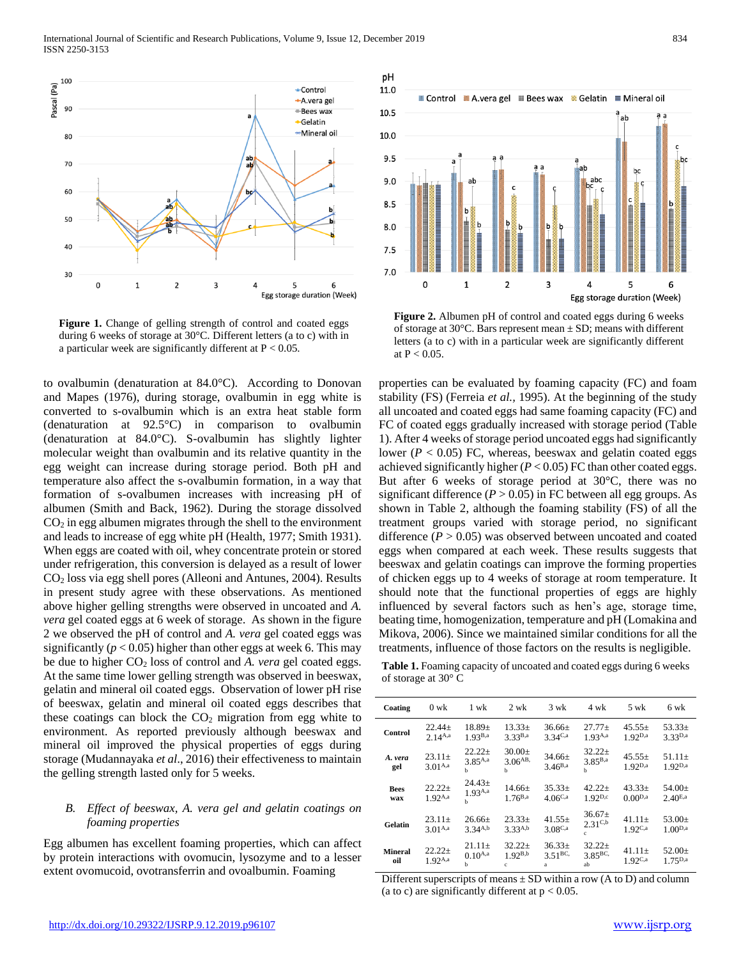

Figure 1. Change of gelling strength of control and coated eggs during 6 weeks of storage at 30°C. Different letters (a to c) with in a particular week are significantly different at  $P < 0.05$ .

to ovalbumin (denaturation at 84.0°C). According to Donovan and Mapes (1976), during storage, ovalbumin in egg white is converted to s-ovalbumin which is an extra heat stable form (denaturation at 92.5°C) in comparison to ovalbumin (denaturation at 84.0°C). S-ovalbumin has slightly lighter molecular weight than ovalbumin and its relative quantity in the egg weight can increase during storage period. Both pH and temperature also affect the s-ovalbumin formation, in a way that formation of s-ovalbumen increases with increasing pH of albumen (Smith and Back, 1962). During the storage dissolved  $CO<sub>2</sub>$  in egg albumen migrates through the shell to the environment and leads to increase of egg white pH (Health, 1977; Smith 1931). When eggs are coated with oil, whey concentrate protein or stored under refrigeration, this conversion is delayed as a result of lower CO<sup>2</sup> loss via egg shell pores (Alleoni and Antunes, 2004). Results in present study agree with these observations. As mentioned above higher gelling strengths were observed in uncoated and *A. vera* gel coated eggs at 6 week of storage. As shown in the figure 2 we observed the pH of control and *A. vera* gel coated eggs was significantly  $(p < 0.05)$  higher than other eggs at week 6. This may be due to higher CO<sup>2</sup> loss of control and *A. vera* gel coated eggs. At the same time lower gelling strength was observed in beeswax, gelatin and mineral oil coated eggs. Observation of lower pH rise of beeswax, gelatin and mineral oil coated eggs describes that these coatings can block the  $CO<sub>2</sub>$  migration from egg white to environment. As reported previously although beeswax and mineral oil improved the physical properties of eggs during storage (Mudannayaka *et al*., 2016) their effectiveness to maintain the gelling strength lasted only for 5 weeks.

# *B. Effect of beeswax, A. vera gel and gelatin coatings on foaming properties*

Egg albumen has excellent foaming properties, which can affect by protein interactions with ovomucin, lysozyme and to a lesser extent ovomucoid, ovotransferrin and ovoalbumin. Foaming



**Figure 2.** Albumen pH of control and coated eggs during 6 weeks of storage at 30 $^{\circ}$ C. Bars represent mean  $\pm$  SD; means with different letters (a to c) with in a particular week are significantly different at  $P < 0.05$ .

properties can be evaluated by foaming capacity (FC) and foam stability (FS) (Ferreia *et al.,* 1995). At the beginning of the study all uncoated and coated eggs had same foaming capacity (FC) and FC of coated eggs gradually increased with storage period (Table 1). After 4 weeks of storage period uncoated eggs had significantly lower ( $P < 0.05$ ) FC, whereas, beeswax and gelatin coated eggs achieved significantly higher  $(P < 0.05)$  FC than other coated eggs. But after 6 weeks of storage period at 30°C, there was no significant difference  $(P > 0.05)$  in FC between all egg groups. As shown in Table 2, although the foaming stability (FS) of all the treatment groups varied with storage period, no significant difference  $(P > 0.05)$  was observed between uncoated and coated eggs when compared at each week. These results suggests that beeswax and gelatin coatings can improve the forming properties of chicken eggs up to 4 weeks of storage at room temperature. It should note that the functional properties of eggs are highly influenced by several factors such as hen's age, storage time, beating time, homogenization, temperature and pH (Lomakina and Mikova, 2006). Since we maintained similar conditions for all the treatments, influence of those factors on the results is negligible.

Table 1. Foaming capacity of uncoated and coated eggs during 6 weeks of storage at 30° C

| Coating               | $0$ wk                             | 1 wk                          | 2 wk                           | $3$ wk                       | 4 wk                          | 5 wk                               | 6 wk                               |
|-----------------------|------------------------------------|-------------------------------|--------------------------------|------------------------------|-------------------------------|------------------------------------|------------------------------------|
| Control               | $22.44+$<br>$2.14^{A,a}$           | $18.89+$<br>$1.93^{B,a}$      | $13.33+$<br>$3.33B$ ,a         | $36.66 \pm$<br>$3.34C$ ,a    | $27.77+$<br>$193^{A,a}$       | $45.55+$<br>$192^{D,a}$            | $53.33+$<br>$3,32^{D,a}$           |
| A. vera<br>gel        | $23.11 \pm$<br>3.01 <sup>A,a</sup> | $22.22+$<br>$3.85^{A,a}$<br>h | $30.00+$<br>$3.06^{AB}$<br>h   | $34.66 \pm$<br>$3.46^{B,a}$  | $32.22+$<br>$3.85^{B,a}$<br>h | $45.55\pm$<br>192 <sub>D,a</sub>   | $51.11+$<br>1.92 <sub>D,a</sub>    |
| <b>Bees</b><br>wax    | $22.22+$<br>192A,a                 | $24.43+$<br>$193^{A,a}$<br>ь  | $14.66 \pm$<br>$1.76^{B,a}$    | $35.33\pm$<br>$4.06C$ ,a     | $42.22+$<br>$192^{D,c}$       | $43.33+$<br>0.00 <sub>Da</sub>     | 54.00 $\pm$<br>2.40 <sup>E,a</sup> |
| Gelatin               | $23.11 \pm$<br>3.01 <sup>A,a</sup> | $26.66 \pm$<br>$3.34^{A,b}$   | $23.33\pm$<br>3,33A,b          | $41.55 \pm$<br>$3.08C$ ,a    | $36.67 \pm$<br>2.31C<br>c.    | $41.11 \pm$<br>1.92 <sub>C,a</sub> | 53.00 $\pm$<br>1.00 <sup>D,a</sup> |
| <b>Mineral</b><br>oil | $22.22+$<br>$192^{A,a}$            | $21.11+$<br>$0.10^{A,a}$<br>ь | $32.22+$<br>$1.92^{B,b}$<br>C. | $36.33+$<br>$3.51^{BC}$<br>a | $32.22+$<br>3.85BC<br>ah      | $41.11 \pm$<br>$1.92^\text{C,a}$   | $52.00 \pm$<br>1.75 <sup>D,a</sup> |

Different superscripts of means  $\pm$  SD within a row (A to D) and column (a to c) are significantly different at  $p < 0.05$ .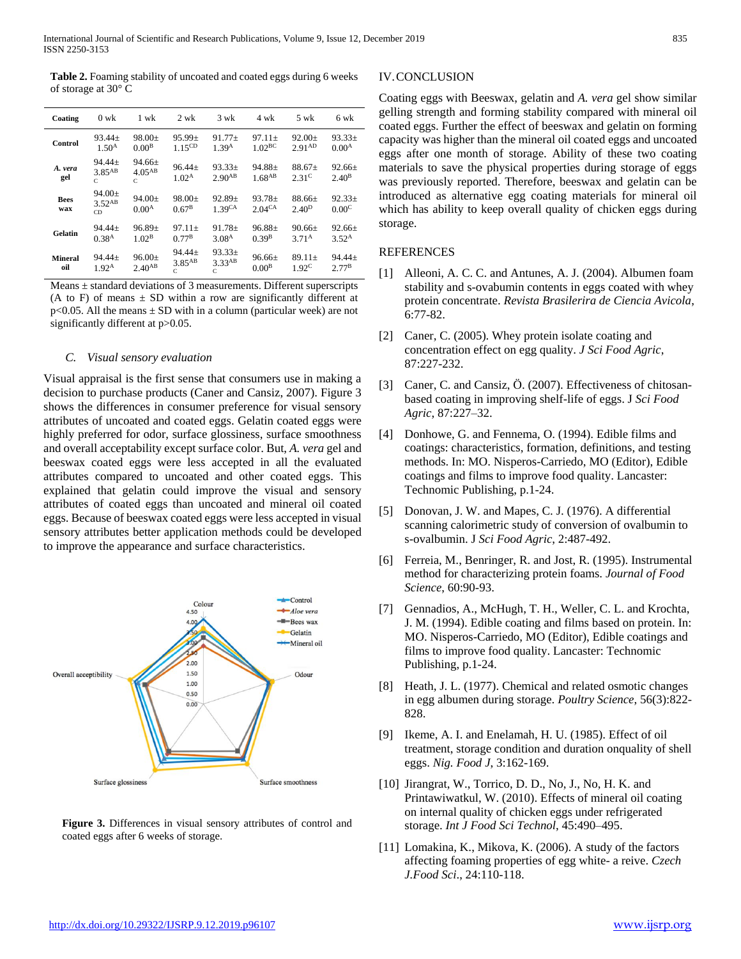**Table 2.** Foaming stability of uncoated and coated eggs during 6 weeks of storage at 30° C

| Coating               | $0 \text{ wk}$                           | 1 wk                              | $2 \text{ wk}$                                      | $3 \text{ wk}$                      | 4 wk                              | $5 \text{ wk}$                | 6 wk                             |
|-----------------------|------------------------------------------|-----------------------------------|-----------------------------------------------------|-------------------------------------|-----------------------------------|-------------------------------|----------------------------------|
| Control               | $93.44 \pm$<br>1.50 <sup>A</sup>         | $98.00 \pm$<br>0.00 <sup>B</sup>  | $95.99+$<br>1.15 <sup>CD</sup>                      | $91.77+$<br>1.39A                   | $97.11+$<br>1.02 <sup>BC</sup>    | $92.00+$<br>2.91AD            | $93.33+$<br>0.00 <sup>A</sup>    |
| A. vera<br>gel        | $94.44 \pm$<br>$3.85$ <sup>AB</sup><br>C | $94.66+$<br>$4.05^{AB}$<br>C      | $96.44 \pm$<br>1.02 <sup>A</sup>                    | $93.33\pm$<br>$2.90^{AB}$           | $94.88 \pm$<br>1.68 <sup>AB</sup> | $88.67+$<br>2.31 <sup>C</sup> | $92.66 \pm$<br>2.40 <sup>B</sup> |
| <b>Bees</b><br>wax    | $94.00 \pm$<br>3.52AB<br>CD              | $94.00 \pm$<br>0.00 <sup>A</sup>  | $98.00+$<br>0.67 <sup>B</sup>                       | $92.89+$<br>1.39 <sup>CA</sup>      | $93.78+$<br>2.04 <sup>CA</sup>    | $88.66+$<br>2.40 <sup>D</sup> | $92.33+$<br>0.00 <sup>C</sup>    |
| Gelatin               | $94.44 \pm$<br>0.38 <sup>A</sup>         | $96.89 \pm$<br>1.02 <sup>B</sup>  | $97.11+$<br>0.77 <sup>B</sup>                       | $91.78 \pm$<br>3.08 <sup>A</sup>    | $96.88 \pm$<br>0.39B              | $90.66+$<br>3.71 <sup>A</sup> | $92.66 \pm$<br>352 <sup>A</sup>  |
| <b>Mineral</b><br>oil | $94.44+$<br>1.92 <sup>A</sup>            | $96.00 \pm$<br>2.40 <sub>AB</sub> | $94.44 \pm$<br>$3.85$ <sup>AB</sup><br>$\mathbb{C}$ | $93.33+$<br>3.33 <sup>AB</sup><br>C | $96.66 \pm$<br>0.00 <sup>B</sup>  | $89.11+$<br>1.92 <sup>C</sup> | $94.44+$<br>2.77B                |

Means  $\pm$  standard deviations of 3 measurements. Different superscripts (A to F) of means  $\pm$  SD within a row are significantly different at  $p<0.05$ . All the means  $\pm$  SD with in a column (particular week) are not significantly different at p>0.05.

#### *C. Visual sensory evaluation*

Visual appraisal is the first sense that consumers use in making a decision to purchase products (Caner and Cansiz, 2007). Figure 3 shows the differences in consumer preference for visual sensory attributes of uncoated and coated eggs. Gelatin coated eggs were highly preferred for odor, surface glossiness, surface smoothness and overall acceptability except surface color. But, *A. vera* gel and beeswax coated eggs were less accepted in all the evaluated attributes compared to uncoated and other coated eggs. This explained that gelatin could improve the visual and sensory attributes of coated eggs than uncoated and mineral oil coated eggs. Because of beeswax coated eggs were less accepted in visual sensory attributes better application methods could be developed to improve the appearance and surface characteristics.



**Figure 3.** Differences in visual sensory attributes of control and coated eggs after 6 weeks of storage.

# IV.CONCLUSION

Coating eggs with Beeswax, gelatin and *A. vera* gel show similar gelling strength and forming stability compared with mineral oil coated eggs. Further the effect of beeswax and gelatin on forming capacity was higher than the mineral oil coated eggs and uncoated eggs after one month of storage. Ability of these two coating materials to save the physical properties during storage of eggs was previously reported. Therefore, beeswax and gelatin can be introduced as alternative egg coating materials for mineral oil which has ability to keep overall quality of chicken eggs during storage.

#### REFERENCES

- [1] Alleoni, A. C. C. and Antunes, A. J. (2004). Albumen foam stability and s-ovabumin contents in eggs coated with whey protein concentrate. *Revista Brasilerira de Ciencia Avicola*, 6:77-82.
- [2] Caner, C. (2005). Whey protein isolate coating and concentration effect on egg quality. *J Sci Food Agric*, 87:227-232.
- [3] Caner, C. and Cansiz, Ö. (2007). Effectiveness of chitosanbased coating in improving shelf-life of eggs. J *Sci Food Agric*, 87:227–32.
- [4] Donhowe, G. and Fennema, O. (1994). Edible films and coatings: characteristics, formation, definitions, and testing methods. In: MO. Nisperos-Carriedo, MO (Editor), Edible coatings and films to improve food quality. Lancaster: Technomic Publishing, p.1-24.
- [5] Donovan, J. W. and Mapes, C. J. (1976). A differential scanning calorimetric study of conversion of ovalbumin to s-ovalbumin. J *Sci Food Agric*, 2:487-492.
- [6] Ferreia, M., Benringer, R. and Jost, R. (1995). Instrumental method for characterizing protein foams. *Journal of Food Science*, 60:90-93.
- [7] Gennadios, A., McHugh, T. H., Weller, C. L. and Krochta, J. M. (1994). Edible coating and films based on protein. In: MO. Nisperos-Carriedo, MO (Editor), Edible coatings and films to improve food quality. Lancaster: Technomic Publishing, p.1-24.
- [8] Heath, J. L. (1977). Chemical and related osmotic changes in egg albumen during storage. *Poultry Science*, 56(3):822- 828.
- [9] Ikeme, A. I. and Enelamah, H. U. (1985). Effect of oil treatment, storage condition and duration onquality of shell eggs. *Nig. Food J*, 3:162-169.
- [10] Jirangrat, W., Torrico, D. D., No, J., No, H. K. and Printawiwatkul, W. (2010). Effects of mineral oil coating on internal quality of chicken eggs under refrigerated storage. *Int J Food Sci Technol*, 45:490–495.
- [11] Lomakina, K., Mikova, K. (2006). A study of the factors affecting foaming properties of egg white- a reive. *Czech J.Food Sci*., 24:110-118.